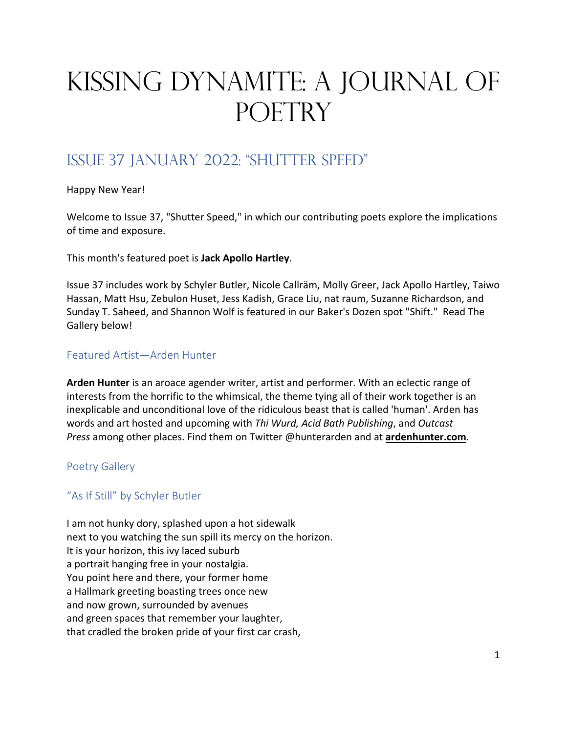# Kissing Dynamite: A Journal of POETRY

# ISSUE 37 JANUARY 2022: "SHUTTER SPEED"

Happy New Year!

Welcome to Issue 37, "Shutter Speed," in which our contributing poets explore the implications of time and exposure.

This month's featured poet is **Jack Apollo Hartley**.

Issue 37 includes work by Schyler Butler, Nicole Callräm, Molly Greer, Jack Apollo Hartley, Taiwo Hassan, Matt Hsu, Zebulon Huset, Jess Kadish, Grace Liu, nat raum, Suzanne Richardson, and Sunday T. Saheed, and Shannon Wolf is featured in our Baker's Dozen spot "Shift." Read The Gallery below!

#### Featured Artist—Arden Hunter

**Arden Hunter** is an aroace agender writer, artist and performer. With an eclectic range of interests from the horrific to the whimsical, the theme tying all of their work together is an inexplicable and unconditional love of the ridiculous beast that is called 'human'. Arden has words and art hosted and upcoming with *Thi Wurd, Acid Bath Publishing*, and *Outcast Press* among other places. Find them on Twitter @hunterarden and at **ardenhunter.com**.

#### Poetry Gallery

## "As If Still" by Schyler Butler

I am not hunky dory, splashed upon a hot sidewalk next to you watching the sun spill its mercy on the horizon. It is your horizon, this ivy laced suburb a portrait hanging free in your nostalgia. You point here and there, your former home a Hallmark greeting boasting trees once new and now grown, surrounded by avenues and green spaces that remember your laughter, that cradled the broken pride of your first car crash,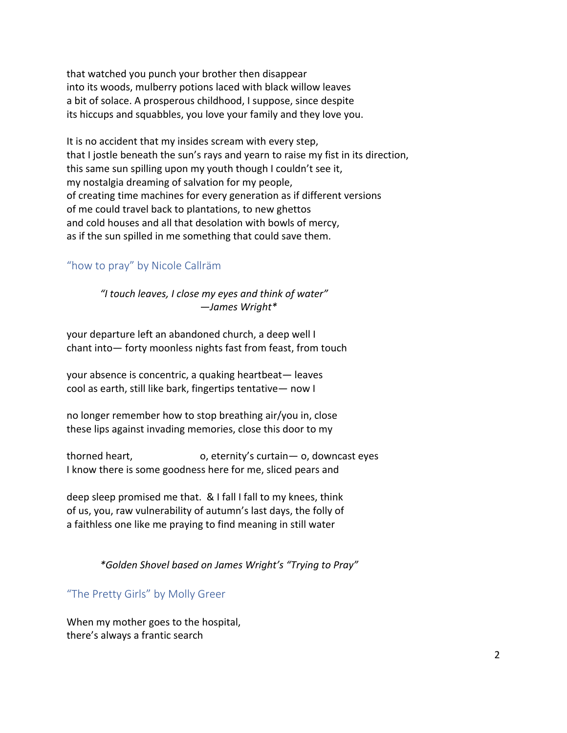that watched you punch your brother then disappear into its woods, mulberry potions laced with black willow leaves a bit of solace. A prosperous childhood, I suppose, since despite its hiccups and squabbles, you love your family and they love you.

It is no accident that my insides scream with every step, that I jostle beneath the sun's rays and yearn to raise my fist in its direction, this same sun spilling upon my youth though I couldn't see it, my nostalgia dreaming of salvation for my people, of creating time machines for every generation as if different versions of me could travel back to plantations, to new ghettos and cold houses and all that desolation with bowls of mercy, as if the sun spilled in me something that could save them.

#### "how to pray" by Nicole Callräm

*"I touch leaves, I close my eyes and think of water" —James Wright\**

your departure left an abandoned church, a deep well I chant into— forty moonless nights fast from feast, from touch

your absence is concentric, a quaking heartbeat— leaves cool as earth, still like bark, fingertips tentative— now I

no longer remember how to stop breathing air/you in, close these lips against invading memories, close this door to my

thorned heart, o, eternity's curtain— o, downcast eyes I know there is some goodness here for me, sliced pears and

deep sleep promised me that. & I fall I fall to my knees, think of us, you, raw vulnerability of autumn's last days, the folly of a faithless one like me praying to find meaning in still water

*\*Golden Shovel based on James Wright's "Trying to Pray"*

"The Pretty Girls" by Molly Greer

When my mother goes to the hospital, there's always a frantic search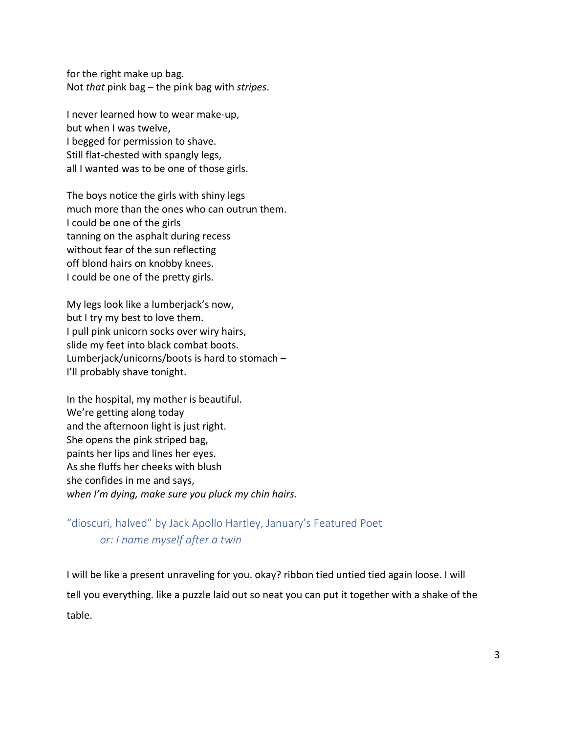for the right make up bag. Not *that* pink bag – the pink bag with *stripes*.

I never learned how to wear make-up, but when I was twelve, I begged for permission to shave. Still flat-chested with spangly legs, all I wanted was to be one of those girls.

The boys notice the girls with shiny legs much more than the ones who can outrun them. I could be one of the girls tanning on the asphalt during recess without fear of the sun reflecting off blond hairs on knobby knees. I could be one of the pretty girls.

My legs look like a lumberjack's now, but I try my best to love them. I pull pink unicorn socks over wiry hairs, slide my feet into black combat boots. Lumberjack/unicorns/boots is hard to stomach – I'll probably shave tonight.

In the hospital, my mother is beautiful. We're getting along today and the afternoon light is just right. She opens the pink striped bag, paints her lips and lines her eyes. As she fluffs her cheeks with blush she confides in me and says, *when I'm dying, make sure you pluck my chin hairs.*

"dioscuri, halved" by Jack Apollo Hartley, January's Featured Poet *or: I name myself after a twin*

I will be like a present unraveling for you. okay? ribbon tied untied tied again loose. I will tell you everything. like a puzzle laid out so neat you can put it together with a shake of the table.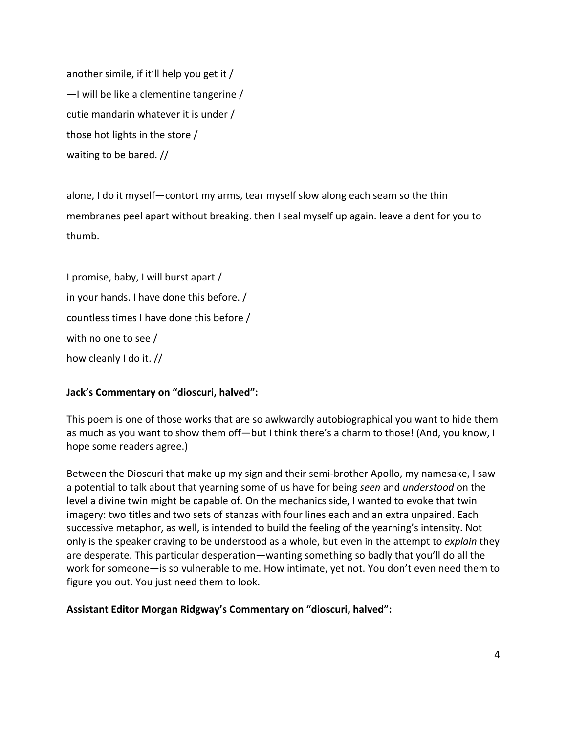another simile, if it'll help you get it / —I will be like a clementine tangerine / cutie mandarin whatever it is under / those hot lights in the store / waiting to be bared. //

alone, I do it myself—contort my arms, tear myself slow along each seam so the thin membranes peel apart without breaking. then I seal myself up again. leave a dent for you to thumb.

I promise, baby, I will burst apart / in your hands. I have done this before. / countless times I have done this before / with no one to see / how cleanly I do it. //

#### **Jack's Commentary on "dioscuri, halved":**

This poem is one of those works that are so awkwardly autobiographical you want to hide them as much as you want to show them off—but I think there's a charm to those! (And, you know, I hope some readers agree.)

Between the Dioscuri that make up my sign and their semi-brother Apollo, my namesake, I saw a potential to talk about that yearning some of us have for being *seen* and *understood* on the level a divine twin might be capable of. On the mechanics side, I wanted to evoke that twin imagery: two titles and two sets of stanzas with four lines each and an extra unpaired. Each successive metaphor, as well, is intended to build the feeling of the yearning's intensity. Not only is the speaker craving to be understood as a whole, but even in the attempt to *explain* they are desperate. This particular desperation—wanting something so badly that you'll do all the work for someone—is so vulnerable to me. How intimate, yet not. You don't even need them to figure you out. You just need them to look.

**Assistant Editor Morgan Ridgway's Commentary on "dioscuri, halved":**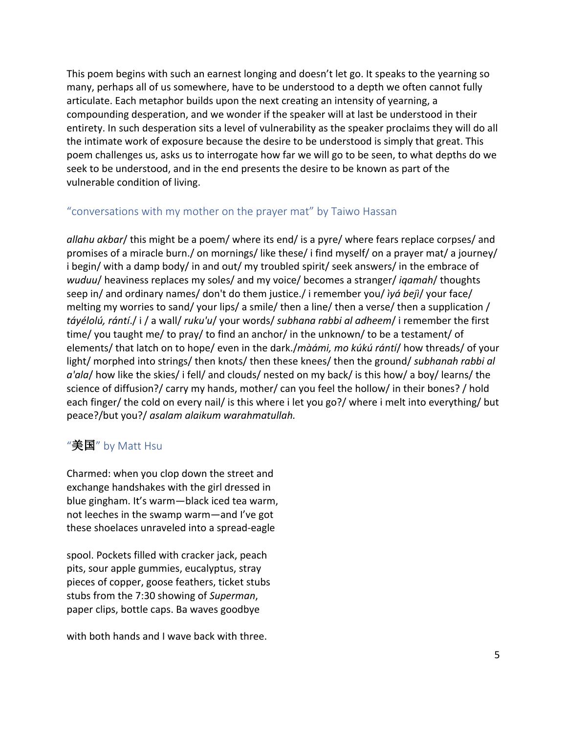This poem begins with such an earnest longing and doesn't let go. It speaks to the yearning so many, perhaps all of us somewhere, have to be understood to a depth we often cannot fully articulate. Each metaphor builds upon the next creating an intensity of yearning, a compounding desperation, and we wonder if the speaker will at last be understood in their entirety. In such desperation sits a level of vulnerability as the speaker proclaims they will do all the intimate work of exposure because the desire to be understood is simply that great. This poem challenges us, asks us to interrogate how far we will go to be seen, to what depths do we seek to be understood, and in the end presents the desire to be known as part of the vulnerable condition of living.

#### "conversations with my mother on the prayer mat" by Taiwo Hassan

*allahu akbar*/ this might be a poem/ where its end/ is a pyre/ where fears replace corpses/ and promises of a miracle burn./ on mornings/ like these/ i find myself/ on a prayer mat/ a journey/ i begin/ with a damp body/ in and out/ my troubled spirit/ seek answers/ in the embrace of *wuduu*/ heaviness replaces my soles/ and my voice/ becomes a stranger/ *iqamah*/ thoughts seep in/ and ordinary names/ don't do them justice./ i remember you/ *ìyá bejì*/ your face/ melting my worries to sand/ your lips/ a smile/ then a line/ then a verse/ then a supplication / *táyélolú, rántí*./ i / a wall/ *ruku'u*/ your words/ *subhana rabbi al adheem*/ i remember the first time/ you taught me/ to pray/ to find an anchor/ in the unknown/ to be a testament/ of elements/ that latch on to hope/ even in the dark./*màámi, mo kúkú rántí*/ how threads/ of your light/ morphed into strings/ then knots/ then these knees/ then the ground/ *subhanah rabbi al a'ala*/ how like the skies/ i fell/ and clouds/ nested on my back/ is this how/ a boy/ learns/ the science of diffusion?/ carry my hands, mother/ can you feel the hollow/ in their bones? / hold each finger/ the cold on every nail/ is this where i let you go?/ where i melt into everything/ but peace?/but you?/ *asalam alaikum warahmatullah.*

# $"**sm**$  by Matt Hsu

Charmed: when you clop down the street and exchange handshakes with the girl dressed in blue gingham. It's warm—black iced tea warm, not leeches in the swamp warm—and I've got these shoelaces unraveled into a spread-eagle

spool. Pockets filled with cracker jack, peach pits, sour apple gummies, eucalyptus, stray pieces of copper, goose feathers, ticket stubs stubs from the 7:30 showing of *Superman*, paper clips, bottle caps. Ba waves goodbye

with both hands and I wave back with three.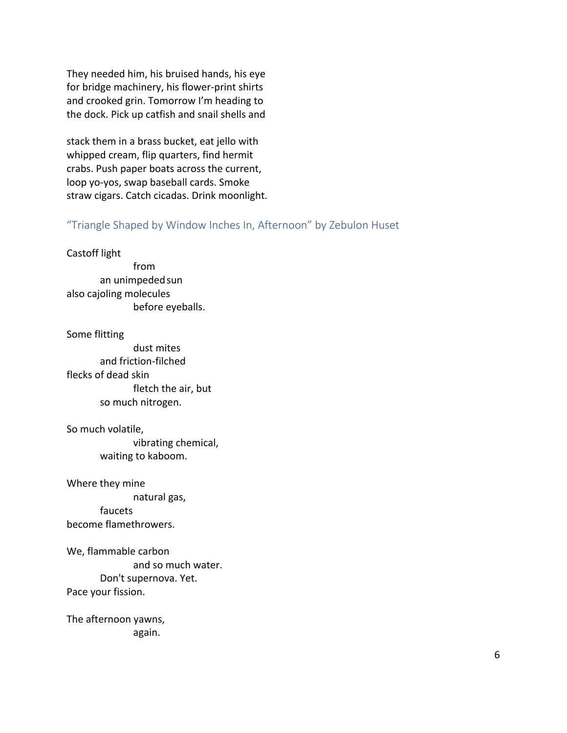They needed him, his bruised hands, his eye for bridge machinery, his flower-print shirts and crooked grin. Tomorrow I'm heading to the dock. Pick up catfish and snail shells and

stack them in a brass bucket, eat jello with whipped cream, flip quarters, find hermit crabs. Push paper boats across the current, loop yo-yos, swap baseball cards. Smoke straw cigars. Catch cicadas. Drink moonlight.

#### "Triangle Shaped by Window Inches In, Afternoon" by Zebulon Huset

Castoff light from an unimpeded sun also cajoling molecules before eyeballs.

Some flitting dust mites and friction-filched flecks of dead skin fletch the air, but so much nitrogen.

So much volatile, vibrating chemical, waiting to kaboom.

Where they mine natural gas,

faucets become flamethrowers.

We, flammable carbon and so much water. Don't supernova. Yet. Pace your fission.

The afternoon yawns, again.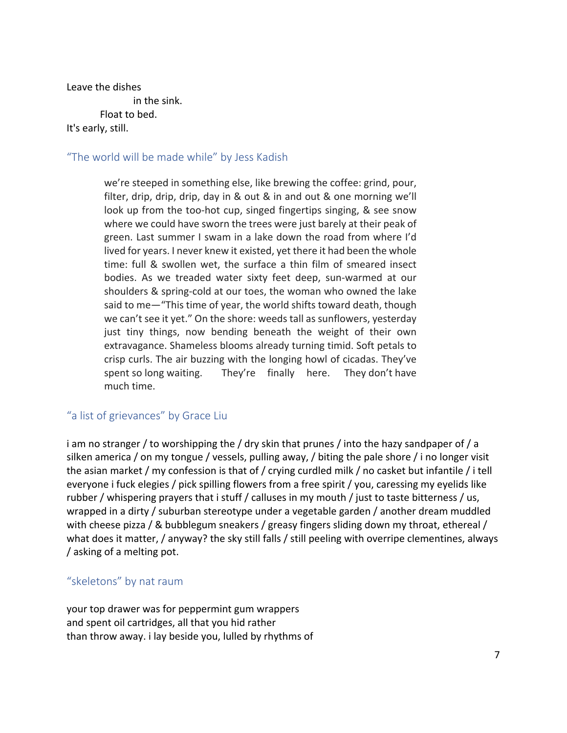Leave the dishes

in the sink.

Float to bed.

#### It's early, still.

#### "The world will be made while" by Jess Kadish

we're steeped in something else, like brewing the coffee: grind, pour, filter, drip, drip, drip, day in & out & in and out & one morning we'll look up from the too-hot cup, singed fingertips singing, & see snow where we could have sworn the trees were just barely at their peak of green. Last summer I swam in a lake down the road from where I'd lived for years. I never knew it existed, yet there it had been the whole time: full & swollen wet, the surface a thin film of smeared insect bodies. As we treaded water sixty feet deep, sun-warmed at our shoulders & spring-cold at our toes, the woman who owned the lake said to me—"This time of year, the world shifts toward death, though we can't see it yet." On the shore: weeds tall as sunflowers, yesterday just tiny things, now bending beneath the weight of their own extravagance. Shameless blooms already turning timid. Soft petals to crisp curls. The air buzzing with the longing howl of cicadas. They've spent so long waiting. They're finally here. They don't have much time.

#### "a list of grievances" by Grace Liu

i am no stranger / to worshipping the / dry skin that prunes / into the hazy sandpaper of / a silken america / on my tongue / vessels, pulling away, / biting the pale shore / i no longer visit the asian market / my confession is that of / crying curdled milk / no casket but infantile / i tell everyone i fuck elegies / pick spilling flowers from a free spirit / you, caressing my eyelids like rubber / whispering prayers that i stuff / calluses in my mouth / just to taste bitterness / us, wrapped in a dirty / suburban stereotype under a vegetable garden / another dream muddled with cheese pizza / & bubblegum sneakers / greasy fingers sliding down my throat, ethereal / what does it matter, / anyway? the sky still falls / still peeling with overripe clementines, always / asking of a melting pot.

#### "skeletons" by nat raum

your top drawer was for peppermint gum wrappers and spent oil cartridges, all that you hid rather than throw away. i lay beside you, lulled by rhythms of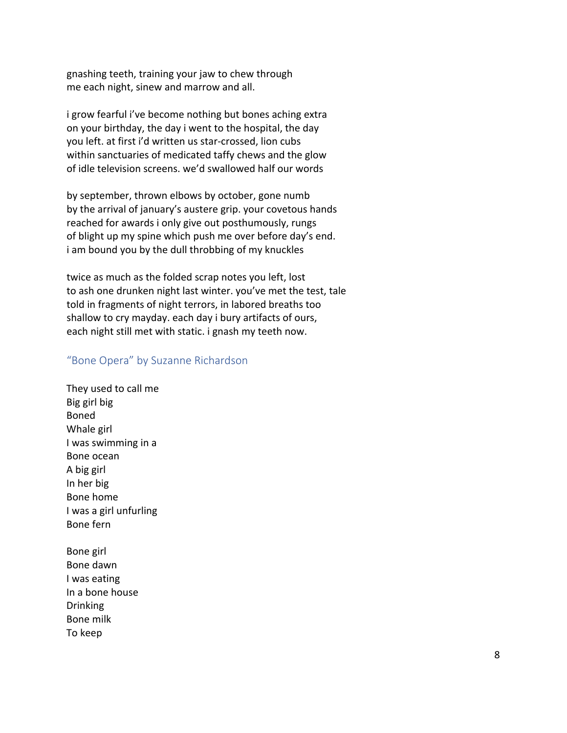gnashing teeth, training your jaw to chew through me each night, sinew and marrow and all.

i grow fearful i've become nothing but bones aching extra on your birthday, the day i went to the hospital, the day you left. at first i'd written us star-crossed, lion cubs within sanctuaries of medicated taffy chews and the glow of idle television screens. we'd swallowed half our words

by september, thrown elbows by october, gone numb by the arrival of january's austere grip. your covetous hands reached for awards i only give out posthumously, rungs of blight up my spine which push me over before day's end. i am bound you by the dull throbbing of my knuckles

twice as much as the folded scrap notes you left, lost to ash one drunken night last winter. you've met the test, tale told in fragments of night terrors, in labored breaths too shallow to cry mayday. each day i bury artifacts of ours, each night still met with static. i gnash my teeth now.

#### "Bone Opera" by Suzanne Richardson

- They used to call me Big girl big Boned Whale girl I was swimming in a Bone ocean A big girl In her big Bone home I was a girl unfurling Bone fern
- Bone girl Bone dawn I was eating In a bone house Drinking Bone milk To keep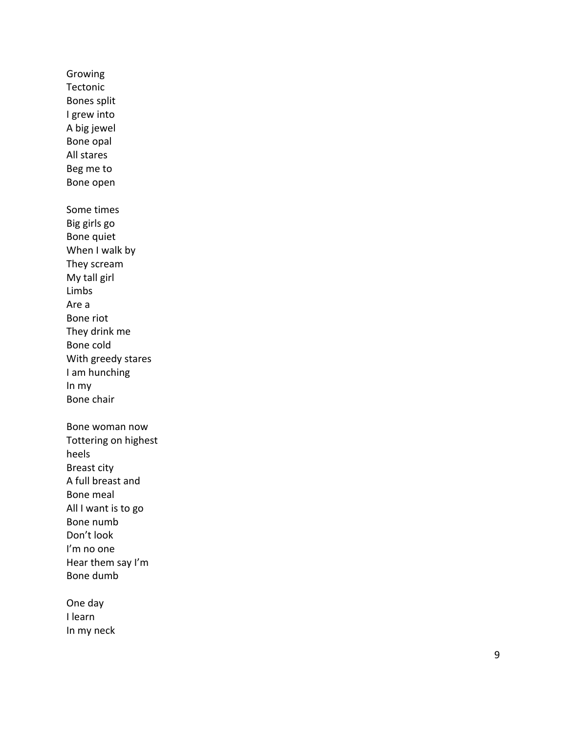Growing Tectonic Bones split I grew into A big jewel Bone opal All stares Beg me to Bone open Some times Big girls go Bone quiet When I walk by They scream My tall girl Limbs Are a Bone riot They drink me Bone cold With greedy stares I am hunching In my Bone chair Bone woman now Tottering on highest heels Breast city A full breast and Bone meal All I want is to go Bone numb Don't look I'm no one Hear them say I'm Bone dumb One day

I learn In my neck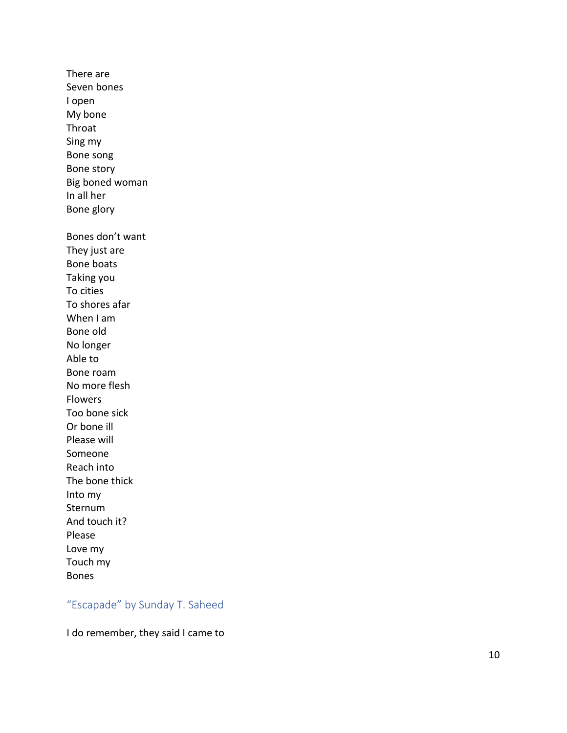There are Seven bones I open My bone Throat Sing my Bone song Bone story Big boned woman In all her Bone glory Bones don't want They just are Bone boats Taking you To cities To shores afar When I am Bone old No longer Able to Bone roam No more flesh Flowers Too bone sick Or bone ill Please will Someone Reach into The bone thick Into my Sternum And touch it? Please Love my Touch my Bone s

# "Escapade" by Sunday T. Saheed

I do remember, they said I came to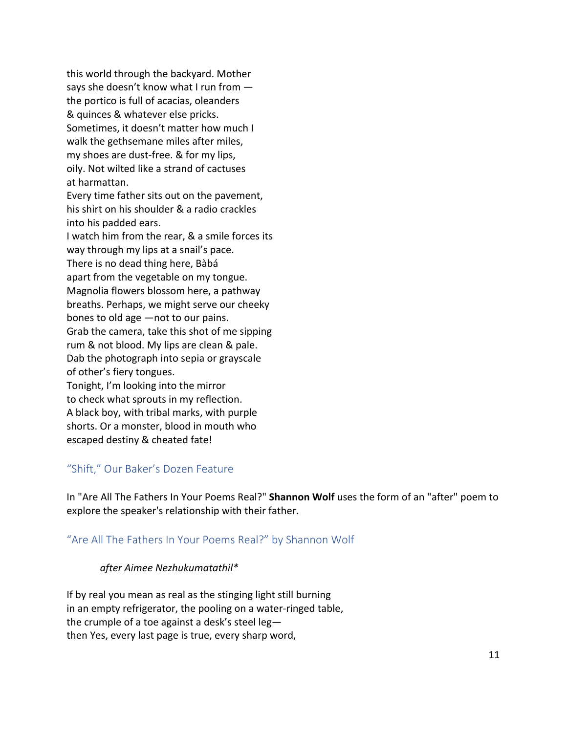this world through the backyard. Mother says she doesn't know what I run from the portico is full of acacias, oleanders & quinces & whatever else pricks. Sometimes, it doesn't matter how much I walk the gethsemane miles after miles, my shoes are dust-free. & for my lips, oily. Not wilted like a strand of cactuses at harmattan.

Every time father sits out on the pavement, his shirt on his shoulder & a radio crackles into his padded ears.

I watch him from the rear, & a smile forces its way through my lips at a snail's pace. There is no dead thing here, Bàbá

apart from the vegetable on my tongue. Magnolia flowers blossom here, a pathway breaths. Perhaps, we might serve our cheeky bones to old age —not to our pains. Grab the camera, take this shot of me sipping rum & not blood. My lips are clean & pale. Dab the photograph into sepia or grayscale of other's fiery tongues.

Tonight, I'm looking into the mirror to check what sprouts in my reflection. A black boy, with tribal marks, with purple shorts. Or a monster, blood in mouth who escaped destiny & cheated fate!

## "Shift," Our Baker's Dozen Feature

In "Are All The Fathers In Your Poems Real?" **Shannon Wolf** uses the form of an "after" poem to explore the speaker's relationship with their father.

# "Are All The Fathers In Your Poems Real?" by Shannon Wolf

#### *after Aimee Nezhukumatathil\**

If by real you mean as real as the stinging light still burning in an empty refrigerator, the pooling on a water-ringed table, the crumple of a toe against a desk's steel leg then Yes, every last page is true, every sharp word,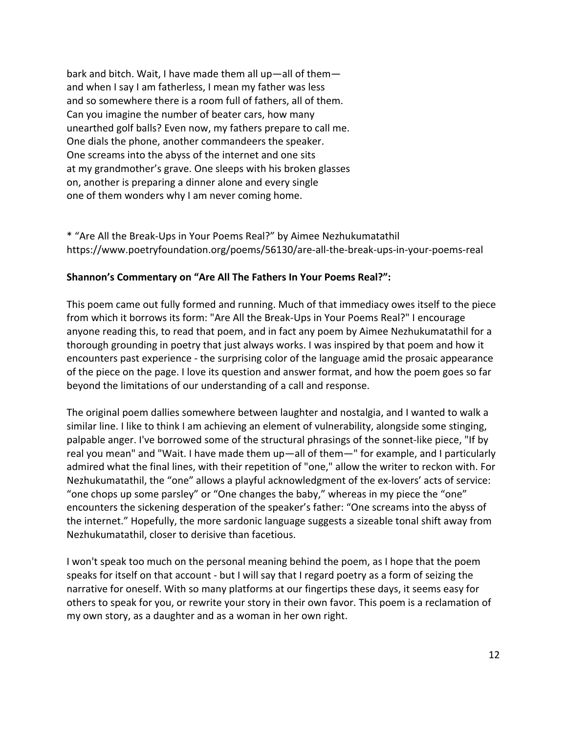bark and bitch. Wait, I have made them all up—all of them and when I say I am fatherless, I mean my father was less and so somewhere there is a room full of fathers, all of them. Can you imagine the number of beater cars, how many unearthed golf balls? Even now, my fathers prepare to call me. One dials the phone, another commandeers the speaker. One screams into the abyss of the internet and one sits at my grandmother's grave. One sleeps with his broken glasses on, another is preparing a dinner alone and every single one of them wonders why I am never coming home.

\* "Are All the Break-Ups in Your Poems Real?" by Aimee Nezhukumatathil https://www.poetryfoundation.org/poems/56130/are-all-the-break-ups-in-your-poems-real

#### **Shannon's Commentary on "Are All The Fathers In Your Poems Real?":**

This poem came out fully formed and running. Much of that immediacy owes itself to the piece from which it borrows its form: "Are All the Break-Ups in Your Poems Real?" I encourage anyone reading this, to read that poem, and in fact any poem by Aimee Nezhukumatathil for a thorough grounding in poetry that just always works. I was inspired by that poem and how it encounters past experience - the surprising color of the language amid the prosaic appearance of the piece on the page. I love its question and answer format, and how the poem goes so far beyond the limitations of our understanding of a call and response.

The original poem dallies somewhere between laughter and nostalgia, and I wanted to walk a similar line. I like to think I am achieving an element of vulnerability, alongside some stinging, palpable anger. I've borrowed some of the structural phrasings of the sonnet-like piece, "If by real you mean" and "Wait. I have made them up—all of them—" for example, and I particularly admired what the final lines, with their repetition of "one," allow the writer to reckon with. For Nezhukumatathil, the "one" allows a playful acknowledgment of the ex-lovers' acts of service: "one chops up some parsley" or "One changes the baby," whereas in my piece the "one" encounters the sickening desperation of the speaker's father: "One screams into the abyss of the internet." Hopefully, the more sardonic language suggests a sizeable tonal shift away from Nezhukumatathil, closer to derisive than facetious.

I won't speak too much on the personal meaning behind the poem, as I hope that the poem speaks for itself on that account - but I will say that I regard poetry as a form of seizing the narrative for oneself. With so many platforms at our fingertips these days, it seems easy for others to speak for you, or rewrite your story in their own favor. This poem is a reclamation of my own story, as a daughter and as a woman in her own right.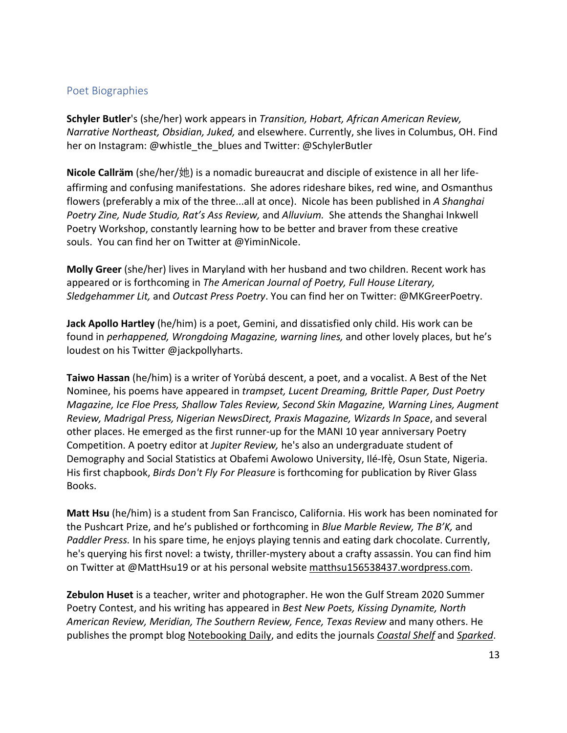#### Poet Biographies

**Schyler Butler**'s (she/her) work appears in *Transition, Hobart, African American Review, Narrative Northeast, Obsidian, Juked,* and elsewhere. Currently, she lives in Columbus, OH. Find her on Instagram: @whistle\_the\_blues and Twitter: @SchylerButler

**Nicole Callräm** (she/her/她) is a nomadic bureaucrat and disciple of existence in all her lifeaffirming and confusing manifestations. She adores rideshare bikes, red wine, and Osmanthus flowers (preferably a mix of the three...all at once). Nicole has been published in *A Shanghai Poetry Zine, Nude Studio, Rat's Ass Review,* and *Alluvium.* She attends the Shanghai Inkwell Poetry Workshop, constantly learning how to be better and braver from these creative souls. You can find her on Twitter at @YiminNicole.

**Molly Greer** (she/her) lives in Maryland with her husband and two children. Recent work has appeared or is forthcoming in *The American Journal of Poetry, Full House Literary, Sledgehammer Lit,* and *Outcast Press Poetry*. You can find her on Twitter: @MKGreerPoetry.

**Jack Apollo Hartley** (he/him) is a poet, Gemini, and dissatisfied only child. His work can be found in *perhappened, Wrongdoing Magazine, warning lines,* and other lovely places, but he's loudest on his Twitter @jackpollyharts.

**Taiwo Hassan** (he/him) is a writer of Yorùbá descent, a poet, and a vocalist. A Best of the Net Nominee, his poems have appeared in *trampset, Lucent Dreaming, Brittle Paper, Dust Poetry Magazine, Ice Floe Press, Shallow Tales Review, Second Skin Magazine, Warning Lines, Augment Review, Madrigal Press, Nigerian NewsDirect, Praxis Magazine, Wizards In Space*, and several other places. He emerged as the first runner-up for the MANI 10 year anniversary Poetry Competition. A poetry editor at *Jupiter Review,* he's also an undergraduate student of Demography and Social Statistics at Obafemi Awolowo University, Ilé-Ifè, Osun State, Nigeria. His first chapbook, *Birds Don't Fly For Pleasure* is forthcoming for publication by River Glass Books.

**Matt Hsu** (he/him) is a student from San Francisco, California. His work has been nominated for the Pushcart Prize, and he's published or forthcoming in *Blue Marble Review, The B'K,* and *Paddler Press.* In his spare time, he enjoys playing tennis and eating dark chocolate. Currently, he's querying his first novel: a twisty, thriller-mystery about a crafty assassin. You can find him on Twitter at @MattHsu19 or at his personal website matthsu156538437.wordpress.com.

**Zebulon Huset** is a teacher, writer and photographer. He won the Gulf Stream 2020 Summer Poetry Contest, and his writing has appeared in *Best New Poets, Kissing Dynamite, North American Review, Meridian, The Southern Review, Fence, Texas Review* and many others. He publishes the prompt blog Notebooking Daily, and edits the journals *Coastal Shelf* and *Sparked*.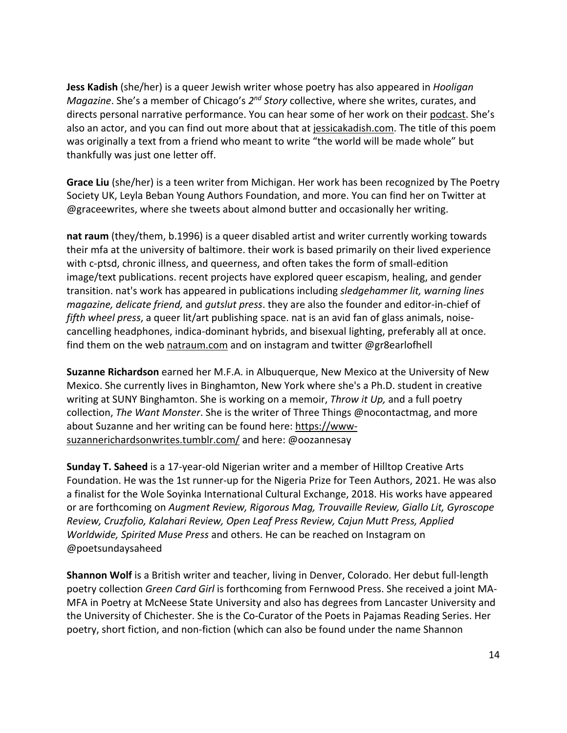**Jess Kadish** (she/her) is a queer Jewish writer whose poetry has also appeared in *Hooligan Magazine*. She's a member of Chicago's *2nd Story* collective, where she writes, curates, and directs personal narrative performance. You can hear some of her work on their podcast. She's also an actor, and you can find out more about that at jessicakadish.com. The title of this poem was originally a text from a friend who meant to write "the world will be made whole" but thankfully was just one letter off.

**Grace Liu** (she/her) is a teen writer from Michigan. Her work has been recognized by The Poetry Society UK, Leyla Beban Young Authors Foundation, and more. You can find her on Twitter at @graceewrites, where she tweets about almond butter and occasionally her writing.

**nat raum** (they/them, b.1996) is a queer disabled artist and writer currently working towards their mfa at the university of baltimore. their work is based primarily on their lived experience with c-ptsd, chronic illness, and queerness, and often takes the form of small-edition image/text publications. recent projects have explored queer escapism, healing, and gender transition. nat's work has appeared in publications including *sledgehammer lit, warning lines magazine, delicate friend,* and *gutslut press*. they are also the founder and editor-in-chief of *fifth wheel press*, a queer lit/art publishing space. nat is an avid fan of glass animals, noisecancelling headphones, indica-dominant hybrids, and bisexual lighting, preferably all at once. find them on the web natraum.com and on instagram and twitter @gr8earlofhell

**Suzanne Richardson** earned her M.F.A. in Albuquerque, New Mexico at the University of New Mexico. She currently lives in Binghamton, New York where she's a Ph.D. student in creative writing at SUNY Binghamton. She is working on a memoir, *Throw it Up,* and a full poetry collection, *The Want Monster*. She is the writer of Three Things @nocontactmag, and more about Suzanne and her writing can be found here: https://wwwsuzannerichardsonwrites.tumblr.com/ and here: @oozannesay

**Sunday T. Saheed** is a 17-year-old Nigerian writer and a member of Hilltop Creative Arts Foundation. He was the 1st runner-up for the Nigeria Prize for Teen Authors, 2021. He was also a finalist for the Wole Soyinka International Cultural Exchange, 2018. His works have appeared or are forthcoming on *Augment Review, Rigorous Mag, Trouvaille Review, Giallo Lit, Gyroscope Review, Cruzfolio, Kalahari Review, Open Leaf Press Review, Cajun Mutt Press, Applied Worldwide, Spirited Muse Press* and others. He can be reached on Instagram on @poetsundaysaheed

**Shannon Wolf** is a British writer and teacher, living in Denver, Colorado. Her debut full-length poetry collection *Green Card Girl* is forthcoming from Fernwood Press. She received a joint MA-MFA in Poetry at McNeese State University and also has degrees from Lancaster University and the University of Chichester. She is the Co-Curator of the Poets in Pajamas Reading Series. Her poetry, short fiction, and non-fiction (which can also be found under the name Shannon